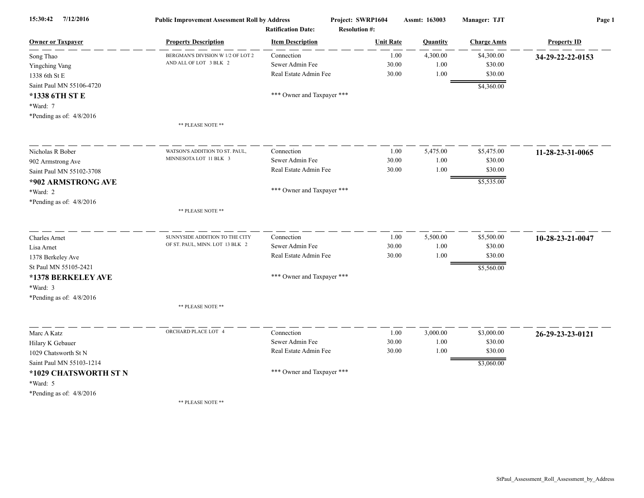| 15:30:42<br>7/12/2016      | <b>Public Improvement Assessment Roll by Address</b><br><b>Ratification Date:</b> |                            | Project: SWRP1604<br><b>Resolution #:</b> | <b>Assmt: 163003</b> | Manager: TJT       | Page 1             |  |
|----------------------------|-----------------------------------------------------------------------------------|----------------------------|-------------------------------------------|----------------------|--------------------|--------------------|--|
| <b>Owner or Taxpayer</b>   | <b>Property Description</b>                                                       | <b>Item Description</b>    | <b>Unit Rate</b>                          | Quantity             | <b>Charge Amts</b> | <b>Property ID</b> |  |
| Song Thao                  | BERGMAN'S DIVISION W 1/2 OF LOT 2                                                 | Connection                 | 1.00                                      | 4,300.00             | \$4,300.00         | 34-29-22-22-0153   |  |
| Yingching Vang             | AND ALL OF LOT 3 BLK 2                                                            | Sewer Admin Fee            | 30.00                                     | 1.00                 | \$30.00            |                    |  |
| 1338 6th St E              |                                                                                   | Real Estate Admin Fee      | 30.00                                     | 1.00                 | \$30.00            |                    |  |
| Saint Paul MN 55106-4720   |                                                                                   |                            |                                           |                      | \$4,360.00         |                    |  |
| *1338 6TH ST E             |                                                                                   | *** Owner and Taxpayer *** |                                           |                      |                    |                    |  |
| *Ward: 7                   |                                                                                   |                            |                                           |                      |                    |                    |  |
| *Pending as of: $4/8/2016$ |                                                                                   |                            |                                           |                      |                    |                    |  |
|                            | ** PLEASE NOTE **                                                                 |                            |                                           |                      |                    |                    |  |
| Nicholas R Bober           | WATSON'S ADDITION TO ST. PAUL,                                                    | Connection                 | 1.00                                      | 5,475.00             | \$5,475.00         |                    |  |
| 902 Armstrong Ave          | MINNESOTA LOT 11 BLK 3                                                            | Sewer Admin Fee            | 30.00                                     | 1.00                 | \$30.00            | 11-28-23-31-0065   |  |
| Saint Paul MN 55102-3708   |                                                                                   | Real Estate Admin Fee      | 30.00                                     | 1.00                 | \$30.00            |                    |  |
| *902 ARMSTRONG AVE         |                                                                                   |                            |                                           |                      | \$5,535.00         |                    |  |
| *Ward: 2                   |                                                                                   | *** Owner and Taxpayer *** |                                           |                      |                    |                    |  |
|                            |                                                                                   |                            |                                           |                      |                    |                    |  |
| *Pending as of: $4/8/2016$ | ** PLEASE NOTE **                                                                 |                            |                                           |                      |                    |                    |  |
| <b>Charles Arnet</b>       | SUNNYSIDE ADDITION TO THE CITY                                                    | Connection                 | 1.00                                      | 5,500.00             | \$5,500.00         | 10-28-23-21-0047   |  |
| Lisa Arnet                 | OF ST. PAUL, MINN. LOT 13 BLK 2                                                   | Sewer Admin Fee            | 30.00                                     | 1.00                 | \$30.00            |                    |  |
| 1378 Berkeley Ave          |                                                                                   | Real Estate Admin Fee      | 30.00                                     | 1.00                 | \$30.00            |                    |  |
| St Paul MN 55105-2421      |                                                                                   |                            |                                           |                      | \$5,560.00         |                    |  |
| *1378 BERKELEY AVE         |                                                                                   | *** Owner and Taxpayer *** |                                           |                      |                    |                    |  |
| *Ward: 3                   |                                                                                   |                            |                                           |                      |                    |                    |  |
| *Pending as of: $4/8/2016$ |                                                                                   |                            |                                           |                      |                    |                    |  |
|                            | ** PLEASE NOTE **                                                                 |                            |                                           |                      |                    |                    |  |
| Marc A Katz                | ORCHARD PLACE LOT 4                                                               | Connection                 | 1.00                                      | 3,000.00             | \$3,000.00         | 26-29-23-23-0121   |  |
| Hilary K Gebauer           |                                                                                   | Sewer Admin Fee            | 30.00                                     | 1.00                 | \$30.00            |                    |  |
| 1029 Chatsworth St N       |                                                                                   | Real Estate Admin Fee      | 30.00                                     | 1.00                 | \$30.00            |                    |  |
| Saint Paul MN 55103-1214   |                                                                                   |                            |                                           |                      | \$3,060.00         |                    |  |
| *1029 CHATSWORTH ST N      |                                                                                   | *** Owner and Taxpayer *** |                                           |                      |                    |                    |  |
| *Ward: 5                   |                                                                                   |                            |                                           |                      |                    |                    |  |
| *Pending as of: $4/8/2016$ |                                                                                   |                            |                                           |                      |                    |                    |  |
|                            | ** PLEASE NOTE **                                                                 |                            |                                           |                      |                    |                    |  |
|                            |                                                                                   |                            |                                           |                      |                    |                    |  |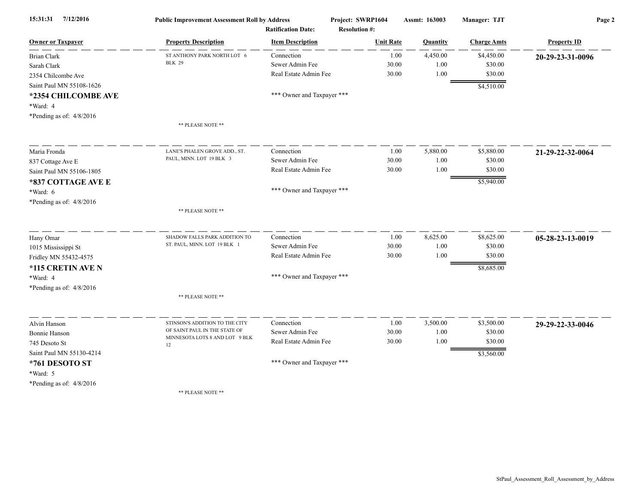| 15:31:31<br>7/12/2016      | <b>Public Improvement Assessment Roll by Address</b><br><b>Ratification Date:</b> |                            | Project: SWRP1604<br><b>Resolution #:</b> | Assmt: 163003   | Manager: TJT       | Page 2             |  |
|----------------------------|-----------------------------------------------------------------------------------|----------------------------|-------------------------------------------|-----------------|--------------------|--------------------|--|
| <b>Owner or Taxpayer</b>   | <b>Property Description</b>                                                       | <b>Item Description</b>    | <b>Unit Rate</b>                          | <b>Quantity</b> | <b>Charge Amts</b> | <b>Property ID</b> |  |
| Brian Clark                | ST ANTHONY PARK NORTH LOT 6                                                       | Connection                 | 1.00                                      | 4,450.00        | \$4,450.00         | 20-29-23-31-0096   |  |
| Sarah Clark                | <b>BLK 29</b>                                                                     | Sewer Admin Fee            | 30.00                                     | 1.00            | \$30.00            |                    |  |
| 2354 Chilcombe Ave         |                                                                                   | Real Estate Admin Fee      | 30.00                                     | 1.00            | \$30.00            |                    |  |
| Saint Paul MN 55108-1626   |                                                                                   |                            |                                           |                 | \$4,510.00         |                    |  |
| *2354 CHILCOMBE AVE        |                                                                                   | *** Owner and Taxpayer *** |                                           |                 |                    |                    |  |
| *Ward: 4                   |                                                                                   |                            |                                           |                 |                    |                    |  |
| *Pending as of: $4/8/2016$ |                                                                                   |                            |                                           |                 |                    |                    |  |
|                            | ** PLEASE NOTE **                                                                 |                            |                                           |                 |                    |                    |  |
| Maria Fronda               | LANE'S PHALEN GROVE ADD., ST.                                                     | Connection                 | 1.00                                      | 5,880.00        | \$5,880.00         | 21-29-22-32-0064   |  |
| 837 Cottage Ave E          | PAUL, MINN. LOT 19 BLK 3                                                          | Sewer Admin Fee            | 30.00                                     | 1.00            | \$30.00            |                    |  |
| Saint Paul MN 55106-1805   |                                                                                   | Real Estate Admin Fee      | 30.00                                     | 1.00            | \$30.00            |                    |  |
| *837 COTTAGE AVE E         |                                                                                   |                            |                                           |                 | \$5,940.00         |                    |  |
| *Ward: 6                   |                                                                                   | *** Owner and Taxpayer *** |                                           |                 |                    |                    |  |
| *Pending as of: $4/8/2016$ |                                                                                   |                            |                                           |                 |                    |                    |  |
|                            | ** PLEASE NOTE **                                                                 |                            |                                           |                 |                    |                    |  |
| Hany Omar                  | SHADOW FALLS PARK ADDITION TO                                                     | Connection                 | 1.00                                      | 8,625.00        | \$8,625.00         | 05-28-23-13-0019   |  |
| 1015 Mississippi St        | ST. PAUL, MINN. LOT 19 BLK 1                                                      | Sewer Admin Fee            | 30.00                                     | 1.00            | \$30.00            |                    |  |
| Fridley MN 55432-4575      |                                                                                   | Real Estate Admin Fee      | 30.00                                     | 1.00            | \$30.00            |                    |  |
| *115 CRETIN AVE N          |                                                                                   |                            |                                           |                 | \$8,685.00         |                    |  |
| *Ward: 4                   |                                                                                   | *** Owner and Taxpayer *** |                                           |                 |                    |                    |  |
| *Pending as of: $4/8/2016$ |                                                                                   |                            |                                           |                 |                    |                    |  |
|                            | ** PLEASE NOTE **                                                                 |                            |                                           |                 |                    |                    |  |
| Alvin Hanson               | STINSON'S ADDITION TO THE CITY                                                    | Connection                 | 1.00                                      | 3,500.00        | \$3,500.00         | 29-29-22-33-0046   |  |
| <b>Bonnie Hanson</b>       | OF SAINT PAUL IN THE STATE OF                                                     | Sewer Admin Fee            | 30.00                                     | 1.00            | \$30.00            |                    |  |
| 745 Desoto St              | MINNESOTA LOTS 8 AND LOT 9 BLK<br>12                                              | Real Estate Admin Fee      | 30.00                                     | 1.00            | \$30.00            |                    |  |
| Saint Paul MN 55130-4214   |                                                                                   |                            |                                           |                 | \$3,560.00         |                    |  |
| *761 DESOTO ST             |                                                                                   | *** Owner and Taxpayer *** |                                           |                 |                    |                    |  |
| *Ward: 5                   |                                                                                   |                            |                                           |                 |                    |                    |  |
| *Pending as of: $4/8/2016$ |                                                                                   |                            |                                           |                 |                    |                    |  |
|                            | ** PLEASE NOTE **                                                                 |                            |                                           |                 |                    |                    |  |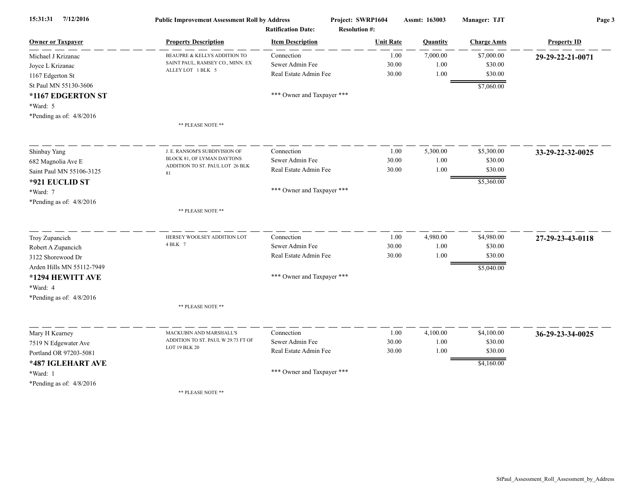| 15:31:31<br>7/12/2016      | <b>Public Improvement Assessment Roll by Address</b><br><b>Ratification Date:</b><br><b>Property Description</b><br><b>Item Description</b> |                               | Project: SWRP1604    | Assmt: 163003    | <b>Manager: TJT</b>   | Page 3             |  |
|----------------------------|---------------------------------------------------------------------------------------------------------------------------------------------|-------------------------------|----------------------|------------------|-----------------------|--------------------|--|
| <b>Owner or Taxpayer</b>   |                                                                                                                                             |                               | <b>Resolution #:</b> |                  | <b>Charge Amts</b>    | <b>Property ID</b> |  |
|                            |                                                                                                                                             |                               | <b>Unit Rate</b>     | Quantity         |                       |                    |  |
| Michael J Krizanac         | BEAUPRE & KELLYS ADDITION TO<br>SAINT PAUL, RAMSEY CO., MINN. EX                                                                            | Connection<br>Sewer Admin Fee | 1.00<br>30.00        | 7,000.00<br>1.00 | \$7,000.00<br>\$30.00 | 29-29-22-21-0071   |  |
| Joyce L Krizanac           | ALLEY LOT 1 BLK 5                                                                                                                           | Real Estate Admin Fee         | 30.00                | 1.00             | \$30.00               |                    |  |
| 1167 Edgerton St           |                                                                                                                                             |                               |                      |                  |                       |                    |  |
| St Paul MN 55130-3606      |                                                                                                                                             |                               |                      |                  | \$7,060.00            |                    |  |
| *1167 EDGERTON ST          |                                                                                                                                             | *** Owner and Taxpayer ***    |                      |                  |                       |                    |  |
| *Ward: 5                   |                                                                                                                                             |                               |                      |                  |                       |                    |  |
| *Pending as of: 4/8/2016   |                                                                                                                                             |                               |                      |                  |                       |                    |  |
|                            | ** PLEASE NOTE **                                                                                                                           |                               |                      |                  |                       |                    |  |
| Shinbay Yang               | J. E. RANSOM'S SUBDIVISION OF                                                                                                               | Connection                    | 1.00                 | 5,300.00         | \$5,300.00            | 33-29-22-32-0025   |  |
| 682 Magnolia Ave E         | BLOCK 81, OF LYMAN DAYTONS                                                                                                                  | Sewer Admin Fee               | 30.00                | 1.00             | \$30.00               |                    |  |
| Saint Paul MN 55106-3125   | ADDITION TO ST. PAUL LOT 26 BLK<br>81                                                                                                       | Real Estate Admin Fee         | 30.00                | 1.00             | \$30.00               |                    |  |
| *921 EUCLID ST             |                                                                                                                                             |                               |                      |                  | \$5,360.00            |                    |  |
| *Ward: 7                   |                                                                                                                                             | *** Owner and Taxpayer ***    |                      |                  |                       |                    |  |
| *Pending as of: $4/8/2016$ |                                                                                                                                             |                               |                      |                  |                       |                    |  |
|                            | ** PLEASE NOTE **                                                                                                                           |                               |                      |                  |                       |                    |  |
| Troy Zupancich             | HERSEY WOOLSEY ADDITION LOT                                                                                                                 | Connection                    | 1.00                 | 4,980.00         | \$4,980.00            | 27-29-23-43-0118   |  |
| Robert A Zupancich         | 4 BLK 7                                                                                                                                     | Sewer Admin Fee               | 30.00                | 1.00             | \$30.00               |                    |  |
| 3122 Shorewood Dr          |                                                                                                                                             | Real Estate Admin Fee         | 30.00                | 1.00             | \$30.00               |                    |  |
| Arden Hills MN 55112-7949  |                                                                                                                                             |                               |                      |                  | \$5,040.00            |                    |  |
| *1294 HEWITT AVE           |                                                                                                                                             | *** Owner and Taxpayer ***    |                      |                  |                       |                    |  |
| *Ward: 4                   |                                                                                                                                             |                               |                      |                  |                       |                    |  |
| *Pending as of: $4/8/2016$ |                                                                                                                                             |                               |                      |                  |                       |                    |  |
|                            | ** PLEASE NOTE **                                                                                                                           |                               |                      |                  |                       |                    |  |
| Mary H Kearney             | MACKUBIN AND MARSHALL'S                                                                                                                     | Connection                    | 1.00                 | 4,100.00         | \$4,100.00            | 36-29-23-34-0025   |  |
| 7519 N Edgewater Ave       | ADDITION TO ST. PAUL W 29.73 FT OF                                                                                                          | Sewer Admin Fee               | 30.00                | 1.00             | \$30.00               |                    |  |
| Portland OR 97203-5081     | LOT 19 BLK 20                                                                                                                               | Real Estate Admin Fee         | 30.00                | 1.00             | \$30.00               |                    |  |
| *487 IGLEHART AVE          |                                                                                                                                             |                               |                      |                  | \$4,160.00            |                    |  |
| *Ward: 1                   |                                                                                                                                             | *** Owner and Taxpayer ***    |                      |                  |                       |                    |  |
| *Pending as of: 4/8/2016   |                                                                                                                                             |                               |                      |                  |                       |                    |  |
|                            | ** PLEASE NOTE **                                                                                                                           |                               |                      |                  |                       |                    |  |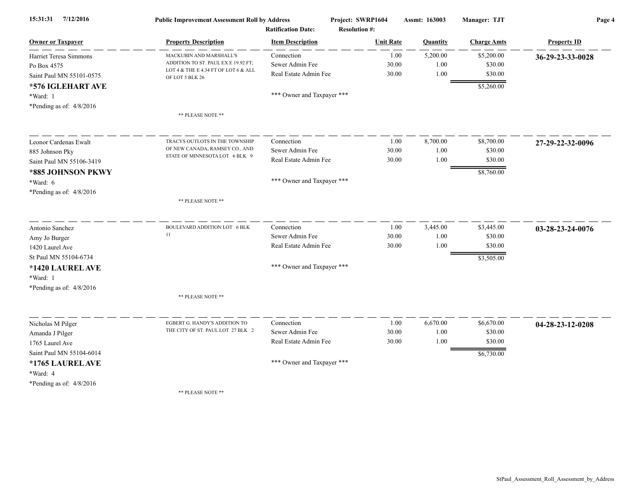| 7/12/2016<br>15:31:31      | <b>Public Improvement Assessment Roll by Address</b><br><b>Ratification Date:</b> |                            | Project: SWRP1604    | Assmt: 163003 | Manager: TJT       | Page 4             |  |
|----------------------------|-----------------------------------------------------------------------------------|----------------------------|----------------------|---------------|--------------------|--------------------|--|
|                            |                                                                                   |                            | <b>Resolution #:</b> |               |                    |                    |  |
| <b>Owner or Taxpayer</b>   | <b>Property Description</b>                                                       | <b>Item Description</b>    | <b>Unit Rate</b>     | Quantity      | <b>Charge Amts</b> | <b>Property ID</b> |  |
| Harriet Teresa Simmons     | MACKUBIN AND MARSHALL'S                                                           | Connection                 | 1.00                 | 5,200.00      | \$5,200.00         | 36-29-23-33-0028   |  |
| Po Box 4575                | ADDITION TO ST. PAUL EX E 19.92 FT;<br>LOT 4 & THE E 4.34 FT OF LOT 6 & ALL       | Sewer Admin Fee            | 30.00                | 1.00          | \$30.00            |                    |  |
| Saint Paul MN 55101-0575   | OF LOT 5 BLK 26                                                                   | Real Estate Admin Fee      | 30.00                | 1.00          | \$30.00            |                    |  |
| *576 IGLEHART AVE          |                                                                                   |                            |                      |               | \$5,260.00         |                    |  |
| *Ward: 1                   |                                                                                   | *** Owner and Taxpayer *** |                      |               |                    |                    |  |
| *Pending as of: 4/8/2016   |                                                                                   |                            |                      |               |                    |                    |  |
|                            | ** PLEASE NOTE **                                                                 |                            |                      |               |                    |                    |  |
| Leonor Cardenas Ewalt      | TRACYS OUTLOTS IN THE TOWNSHIP                                                    | Connection                 | 1.00                 | 8,700.00      | \$8,700.00         | 27-29-22-32-0096   |  |
| 885 Johnson Pky            | OF NEW CANADA, RAMSEY CO., AND                                                    | Sewer Admin Fee            | 30.00                | 1.00          | \$30.00            |                    |  |
| Saint Paul MN 55106-3419   | STATE OF MINNESOTA LOT 6 BLK 9                                                    | Real Estate Admin Fee      | 30.00                | 1.00          | \$30.00            |                    |  |
| *885 JOHNSON PKWY          |                                                                                   |                            |                      |               | \$8,760.00         |                    |  |
| *Ward: 6                   |                                                                                   | *** Owner and Taxpayer *** |                      |               |                    |                    |  |
| *Pending as of: $4/8/2016$ |                                                                                   |                            |                      |               |                    |                    |  |
|                            | ** PLEASE NOTE **                                                                 |                            |                      |               |                    |                    |  |
| Antonio Sanchez            | BOULEVARD ADDITION LOT 6 BLK                                                      | Connection                 | 1.00                 | 3,445.00      | \$3,445.00         | 03-28-23-24-0076   |  |
| Amy Jo Burger              | 11                                                                                | Sewer Admin Fee            | 30.00                | 1.00          | \$30.00            |                    |  |
| 1420 Laurel Ave            |                                                                                   | Real Estate Admin Fee      | 30.00                | 1.00          | \$30.00            |                    |  |
| St Paul MN 55104-6734      |                                                                                   |                            |                      |               | \$3,505.00         |                    |  |
| *1420 LAUREL AVE           |                                                                                   | *** Owner and Taxpayer *** |                      |               |                    |                    |  |
| *Ward: 1                   |                                                                                   |                            |                      |               |                    |                    |  |
| *Pending as of: $4/8/2016$ |                                                                                   |                            |                      |               |                    |                    |  |
|                            | ** PLEASE NOTE **                                                                 |                            |                      |               |                    |                    |  |
| Nicholas M Pilger          | EGBERT G. HANDY'S ADDITION TO                                                     | Connection                 | 1.00                 | 6,670.00      | \$6,670.00         | 04-28-23-12-0208   |  |
| Amanda J Pilger            | THE CITY OF ST. PAUL LOT 27 BLK 2                                                 | Sewer Admin Fee            | 30.00                | 1.00          | \$30.00            |                    |  |
| 1765 Laurel Ave            |                                                                                   | Real Estate Admin Fee      | 30.00                | 1.00          | \$30.00            |                    |  |
| Saint Paul MN 55104-6014   |                                                                                   |                            |                      |               | \$6,730.00         |                    |  |
| *1765 LAUREL AVE           |                                                                                   | *** Owner and Taxpayer *** |                      |               |                    |                    |  |
| *Ward: 4                   |                                                                                   |                            |                      |               |                    |                    |  |
| *Pending as of: $4/8/2016$ |                                                                                   |                            |                      |               |                    |                    |  |
|                            | ** PLEASE NOTE **                                                                 |                            |                      |               |                    |                    |  |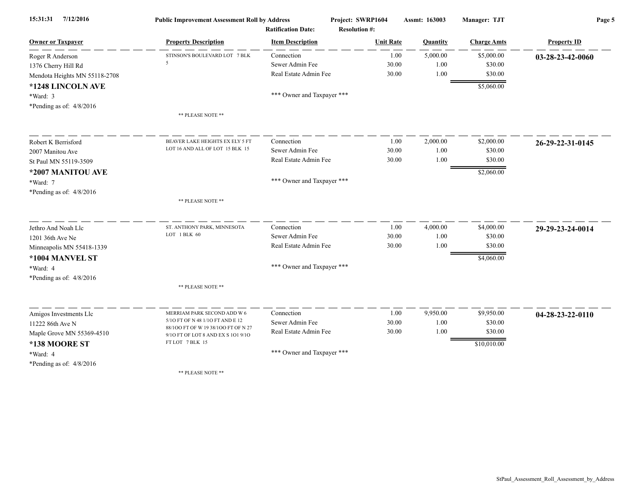| 7/12/2016<br>15:31:31         | <b>Public Improvement Assessment Roll by Address</b>                      |                            | Project: SWRP1604    | Assmt: 163003 | Manager: TJT       | Page 5             |  |
|-------------------------------|---------------------------------------------------------------------------|----------------------------|----------------------|---------------|--------------------|--------------------|--|
|                               |                                                                           | <b>Ratification Date:</b>  | <b>Resolution #:</b> |               |                    |                    |  |
| <b>Owner or Taxpayer</b>      | <b>Property Description</b>                                               | <b>Item Description</b>    | <b>Unit Rate</b>     | Quantity      | <b>Charge Amts</b> | <b>Property ID</b> |  |
| Roger R Anderson              | STINSON'S BOULEVARD LOT 7 BLK                                             | Connection                 | 1.00                 | 5,000.00      | \$5,000.00         | 03-28-23-42-0060   |  |
| 1376 Cherry Hill Rd           | 5                                                                         | Sewer Admin Fee            | 30.00                | 1.00          | \$30.00            |                    |  |
| Mendota Heights MN 55118-2708 |                                                                           | Real Estate Admin Fee      | 30.00                | 1.00          | \$30.00            |                    |  |
| *1248 LINCOLN AVE             |                                                                           |                            |                      |               | \$5,060.00         |                    |  |
| *Ward: 3                      |                                                                           | *** Owner and Taxpayer *** |                      |               |                    |                    |  |
| *Pending as of: $4/8/2016$    |                                                                           |                            |                      |               |                    |                    |  |
|                               | ** PLEASE NOTE **                                                         |                            |                      |               |                    |                    |  |
| Robert K Berrisford           | BEAVER LAKE HEIGHTS EX ELY 5 FT                                           | Connection                 | 1.00                 | 2,000.00      | \$2,000.00         | 26-29-22-31-0145   |  |
| 2007 Manitou Ave              | LOT 16 AND ALL OF LOT 15 BLK 15                                           | Sewer Admin Fee            | 30.00                | 1.00          | \$30.00            |                    |  |
| St Paul MN 55119-3509         |                                                                           | Real Estate Admin Fee      | 30.00                | 1.00          | \$30.00            |                    |  |
| *2007 MANITOU AVE             |                                                                           |                            |                      |               | \$2,060.00         |                    |  |
| *Ward: 7                      |                                                                           | *** Owner and Taxpayer *** |                      |               |                    |                    |  |
| *Pending as of: $4/8/2016$    |                                                                           |                            |                      |               |                    |                    |  |
|                               | ** PLEASE NOTE **                                                         |                            |                      |               |                    |                    |  |
| Jethro And Noah Llc           | ST. ANTHONY PARK, MINNESOTA                                               | Connection                 | 1.00                 | 4,000.00      | \$4,000.00         | 29-29-23-24-0014   |  |
| 1201 36th Ave Ne              | LOT 1 BLK 60                                                              | Sewer Admin Fee            | 30.00                | 1.00          | \$30.00            |                    |  |
| Minneapolis MN 55418-1339     |                                                                           | Real Estate Admin Fee      | 30.00                | 1.00          | \$30.00            |                    |  |
| *1004 MANVEL ST               |                                                                           |                            |                      |               | \$4,060.00         |                    |  |
| *Ward: 4                      |                                                                           | *** Owner and Taxpayer *** |                      |               |                    |                    |  |
| *Pending as of: $4/8/2016$    |                                                                           |                            |                      |               |                    |                    |  |
|                               | ** PLEASE NOTE **                                                         |                            |                      |               |                    |                    |  |
| Amigos Investments Llc        | MERRIAM PARK SECOND ADD W 6                                               | Connection                 | 1.00                 | 9,950.00      | \$9,950.00         | 04-28-23-22-0110   |  |
| 11222 86th Ave N              | 5/10 FT OF N 48 1/10 FT AND E 12                                          | Sewer Admin Fee            | 30.00                | 1.00          | \$30.00            |                    |  |
| Maple Grove MN 55369-4510     | 88/100 FT OF W 19 38/100 FT OF N 27<br>9/10 FT OF LOT 8 AND EX S 101 9/10 | Real Estate Admin Fee      | 30.00                | 1.00          | \$30.00            |                    |  |
| *138 MOORE ST                 | FT LOT 7 BLK 15                                                           |                            |                      |               | \$10,010.00        |                    |  |
| *Ward: 4                      |                                                                           | *** Owner and Taxpayer *** |                      |               |                    |                    |  |
| *Pending as of: $4/8/2016$    |                                                                           |                            |                      |               |                    |                    |  |
|                               | ** PLEASE NOTE **                                                         |                            |                      |               |                    |                    |  |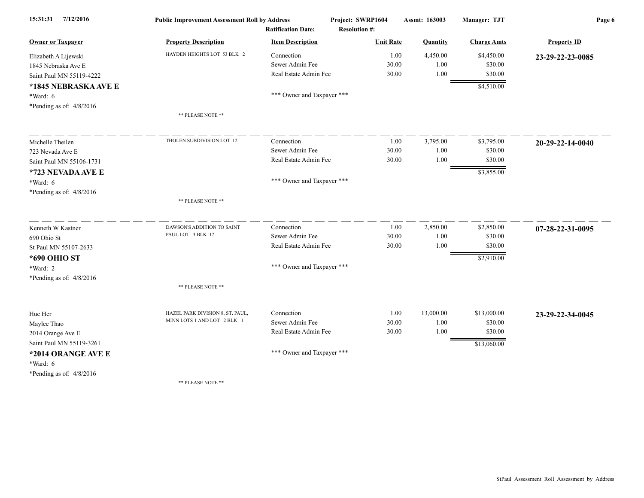| 7/12/2016<br>15:31:31      | <b>Public Improvement Assessment Roll by Address</b> |                            | Project: SWRP1604    | Assmt: 163003 | Manager: TJT       | Page 6             |  |
|----------------------------|------------------------------------------------------|----------------------------|----------------------|---------------|--------------------|--------------------|--|
|                            | <b>Ratification Date:</b>                            |                            | <b>Resolution #:</b> |               |                    |                    |  |
| <b>Owner or Taxpayer</b>   | <b>Property Description</b>                          | <b>Item Description</b>    | <b>Unit Rate</b>     | Quantity      | <b>Charge Amts</b> | <b>Property ID</b> |  |
| Elizabeth A Lijewski       | HAYDEN HEIGHTS LOT 53 BLK 2                          | Connection                 | 1.00                 | 4,450.00      | \$4,450.00         | 23-29-22-23-0085   |  |
| 1845 Nebraska Ave E        |                                                      | Sewer Admin Fee            | 30.00                | 1.00          | \$30.00            |                    |  |
| Saint Paul MN 55119-4222   |                                                      | Real Estate Admin Fee      | 30.00                | 1.00          | \$30.00            |                    |  |
| *1845 NEBRASKA AVE E       |                                                      |                            |                      |               | \$4,510.00         |                    |  |
| *Ward: 6                   |                                                      | *** Owner and Taxpayer *** |                      |               |                    |                    |  |
| *Pending as of: $4/8/2016$ |                                                      |                            |                      |               |                    |                    |  |
|                            | ** PLEASE NOTE **                                    |                            |                      |               |                    |                    |  |
| Michelle Theilen           | THOLEN SUBDIVISION LOT 12                            | Connection                 | 1.00                 | 3,795.00      | \$3,795.00         | 20-29-22-14-0040   |  |
| 723 Nevada Ave E           |                                                      | Sewer Admin Fee            | 30.00                | 1.00          | \$30.00            |                    |  |
| Saint Paul MN 55106-1731   |                                                      | Real Estate Admin Fee      | 30.00                | 1.00          | \$30.00            |                    |  |
| *723 NEVADA AVE E          |                                                      |                            |                      |               | \$3,855.00         |                    |  |
| *Ward: 6                   |                                                      | *** Owner and Taxpayer *** |                      |               |                    |                    |  |
| *Pending as of: 4/8/2016   |                                                      |                            |                      |               |                    |                    |  |
|                            | ** PLEASE NOTE **                                    |                            |                      |               |                    |                    |  |
| Kenneth W Kastner          | DAWSON'S ADDITION TO SAINT                           | Connection                 | 1.00                 | 2,850.00      | \$2,850.00         | 07-28-22-31-0095   |  |
| 690 Ohio St                | PAUL LOT 3 BLK 17                                    | Sewer Admin Fee            | 30.00                | 1.00          | \$30.00            |                    |  |
| St Paul MN 55107-2633      |                                                      | Real Estate Admin Fee      | 30.00                | 1.00          | \$30.00            |                    |  |
| *690 OHIO ST               |                                                      |                            |                      |               | \$2,910.00         |                    |  |
| *Ward: 2                   |                                                      | *** Owner and Taxpayer *** |                      |               |                    |                    |  |
| *Pending as of: $4/8/2016$ |                                                      |                            |                      |               |                    |                    |  |
|                            | ** PLEASE NOTE **                                    |                            |                      |               |                    |                    |  |
| Hue Her                    | HAZEL PARK DIVISION 8, ST. PAUL.                     | Connection                 | 1.00                 | 13,000.00     | \$13,000.00        | 23-29-22-34-0045   |  |
| Maylee Thao                | MINN LOTS 1 AND LOT 2 BLK 1                          | Sewer Admin Fee            | 30.00                | 1.00          | \$30.00            |                    |  |
| 2014 Orange Ave E          |                                                      | Real Estate Admin Fee      | 30.00                | 1.00          | \$30.00            |                    |  |
| Saint Paul MN 55119-3261   |                                                      |                            |                      |               | \$13,060.00        |                    |  |
| *2014 ORANGE AVE E         |                                                      | *** Owner and Taxpayer *** |                      |               |                    |                    |  |
| *Ward: 6                   |                                                      |                            |                      |               |                    |                    |  |
| *Pending as of: $4/8/2016$ |                                                      |                            |                      |               |                    |                    |  |
|                            | ** PLEASE NOTE **                                    |                            |                      |               |                    |                    |  |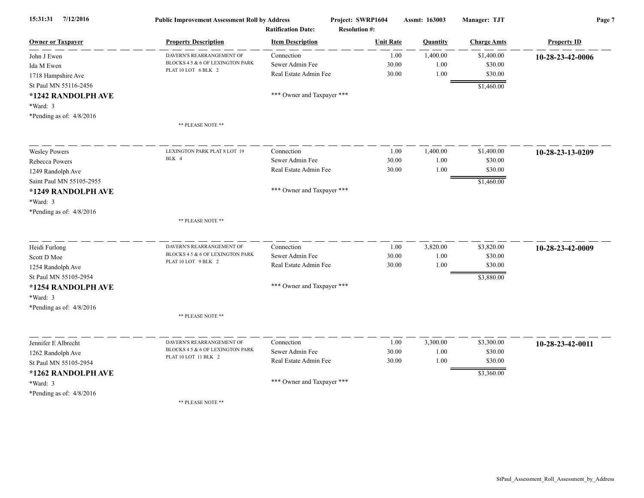| 7/12/2016<br>15:31:31                      | <b>Public Improvement Assessment Roll by Address</b><br><b>Ratification Date:</b><br><b>Property Description</b><br><b>Item Description</b> |                               | Project: SWRP1604                        | Assmt: 163003    | Manager: TJT          | Page 7             |  |
|--------------------------------------------|---------------------------------------------------------------------------------------------------------------------------------------------|-------------------------------|------------------------------------------|------------------|-----------------------|--------------------|--|
| <b>Owner or Taxpayer</b>                   |                                                                                                                                             |                               | <b>Resolution #:</b><br><b>Unit Rate</b> |                  | <b>Charge Amts</b>    | <b>Property ID</b> |  |
|                                            |                                                                                                                                             |                               |                                          | Quantity         |                       |                    |  |
| John J Ewen                                | DAVERN'S REARRANGEMENT OF<br>BLOCKS 4 5 & 6 OF LEXINGTON PARK                                                                               | Connection<br>Sewer Admin Fee | 1.00<br>30.00                            | 1,400.00<br>1.00 | \$1,400.00<br>\$30.00 | 10-28-23-42-0006   |  |
| Ida M Ewen                                 | PLAT 10 LOT 6 BLK 2                                                                                                                         | Real Estate Admin Fee         | 30.00                                    | 1.00             | \$30.00               |                    |  |
| 1718 Hampshire Ave                         |                                                                                                                                             |                               |                                          |                  |                       |                    |  |
| St Paul MN 55116-2456                      |                                                                                                                                             |                               |                                          |                  | \$1,460.00            |                    |  |
| *1242 RANDOLPH AVE                         |                                                                                                                                             | *** Owner and Taxpayer ***    |                                          |                  |                       |                    |  |
| *Ward: 3                                   |                                                                                                                                             |                               |                                          |                  |                       |                    |  |
| *Pending as of: 4/8/2016                   |                                                                                                                                             |                               |                                          |                  |                       |                    |  |
|                                            | ** PLEASE NOTE **                                                                                                                           |                               |                                          |                  |                       |                    |  |
| <b>Wesley Powers</b>                       | LEXINGTON PARK PLAT 8 LOT 19                                                                                                                | Connection                    | 1.00                                     | 1,400.00         | \$1,400.00            | 10-28-23-13-0209   |  |
| Rebecca Powers                             | BLK 4                                                                                                                                       | Sewer Admin Fee               | 30.00                                    | 1.00             | \$30.00               |                    |  |
| 1249 Randolph Ave                          |                                                                                                                                             | Real Estate Admin Fee         | 30.00                                    | 1.00             | \$30.00               |                    |  |
| Saint Paul MN 55105-2955                   |                                                                                                                                             |                               |                                          |                  | \$1,460.00            |                    |  |
| *1249 RANDOLPH AVE                         |                                                                                                                                             | *** Owner and Taxpayer ***    |                                          |                  |                       |                    |  |
| *Ward: 3                                   |                                                                                                                                             |                               |                                          |                  |                       |                    |  |
| *Pending as of: $4/8/2016$                 |                                                                                                                                             |                               |                                          |                  |                       |                    |  |
|                                            | ** PLEASE NOTE **                                                                                                                           |                               |                                          |                  |                       |                    |  |
|                                            | DAVERN'S REARRANGEMENT OF                                                                                                                   | Connection                    | 1.00                                     | 3,820.00         | \$3,820.00            |                    |  |
| Heidi Furlong<br>Scott D Moe               | BLOCKS 4 5 & 6 OF LEXINGTON PARK                                                                                                            | Sewer Admin Fee               | 30.00                                    | 1.00             | \$30.00               | 10-28-23-42-0009   |  |
|                                            | PLAT 10 LOT 9 BLK 2                                                                                                                         | Real Estate Admin Fee         | 30.00                                    | 1.00             | \$30.00               |                    |  |
| 1254 Randolph Ave<br>St Paul MN 55105-2954 |                                                                                                                                             |                               |                                          |                  |                       |                    |  |
|                                            |                                                                                                                                             | *** Owner and Taxpayer ***    |                                          |                  | \$3,880.00            |                    |  |
| *1254 RANDOLPH AVE                         |                                                                                                                                             |                               |                                          |                  |                       |                    |  |
| *Ward: 3                                   |                                                                                                                                             |                               |                                          |                  |                       |                    |  |
| *Pending as of: 4/8/2016                   |                                                                                                                                             |                               |                                          |                  |                       |                    |  |
|                                            | ** PLEASE NOTE **                                                                                                                           |                               |                                          |                  |                       |                    |  |
| Jennifer E Albrecht                        | DAVERN'S REARRANGEMENT OF                                                                                                                   | Connection                    | 1.00                                     | 3,300.00         | \$3,300.00            | 10-28-23-42-0011   |  |
| 1262 Randolph Ave                          | BLOCKS 4 5 & 6 OF LEXINGTON PARK                                                                                                            | Sewer Admin Fee               | 30.00                                    | 1.00             | \$30.00               |                    |  |
| St Paul MN 55105-2954                      | PLAT 10 LOT 11 BLK 2                                                                                                                        | Real Estate Admin Fee         | 30.00                                    | 1.00             | \$30.00               |                    |  |
| *1262 RANDOLPH AVE                         |                                                                                                                                             |                               |                                          |                  | \$3,360.00            |                    |  |
| *Ward: 3                                   |                                                                                                                                             | *** Owner and Taxpayer ***    |                                          |                  |                       |                    |  |
| *Pending as of: 4/8/2016                   |                                                                                                                                             |                               |                                          |                  |                       |                    |  |
|                                            | ** PLEASE NOTE **                                                                                                                           |                               |                                          |                  |                       |                    |  |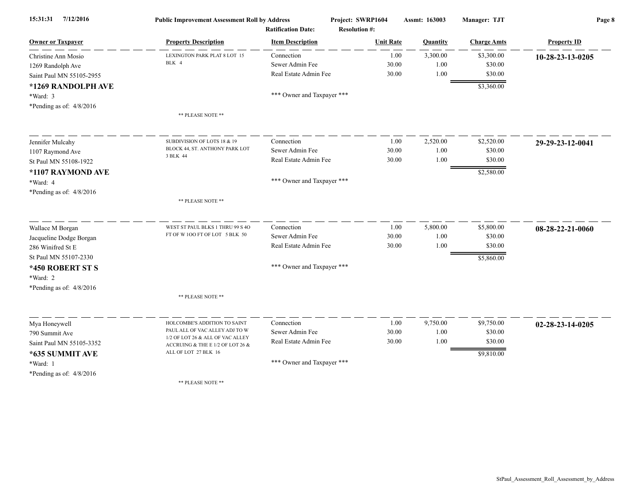| 7/12/2016<br>15:31:31      | <b>Public Improvement Assessment Roll by Address</b>                 |                            | Project: SWRP1604    | Assmt: 163003 | <b>Manager: TJT</b> | Page 8             |  |
|----------------------------|----------------------------------------------------------------------|----------------------------|----------------------|---------------|---------------------|--------------------|--|
|                            |                                                                      | <b>Ratification Date:</b>  | <b>Resolution #:</b> |               |                     |                    |  |
| <b>Owner or Taxpayer</b>   | <b>Property Description</b>                                          | <b>Item Description</b>    | <b>Unit Rate</b>     | Quantity      | <b>Charge Amts</b>  | <b>Property ID</b> |  |
| Christine Ann Mosio        | LEXINGTON PARK PLAT 8 LOT 15                                         | Connection                 | 1.00                 | 3,300.00      | \$3,300.00          | 10-28-23-13-0205   |  |
| 1269 Randolph Ave          | BLK 4                                                                | Sewer Admin Fee            | 30.00                | 1.00          | \$30.00             |                    |  |
| Saint Paul MN 55105-2955   |                                                                      | Real Estate Admin Fee      | 30.00                | 1.00          | \$30.00             |                    |  |
| *1269 RANDOLPH AVE         |                                                                      |                            |                      |               | \$3,360.00          |                    |  |
| *Ward: 3                   |                                                                      | *** Owner and Taxpayer *** |                      |               |                     |                    |  |
| *Pending as of: 4/8/2016   |                                                                      |                            |                      |               |                     |                    |  |
|                            | ** PLEASE NOTE **                                                    |                            |                      |               |                     |                    |  |
| Jennifer Mulcahy           | SUBDIVISION OF LOTS 18 & 19                                          | Connection                 | 1.00                 | 2,520.00      | \$2,520.00          | 29-29-23-12-0041   |  |
| 1107 Raymond Ave           | BLOCK 44, ST. ANTHONY PARK LOT                                       | Sewer Admin Fee            | 30.00                | 1.00          | \$30.00             |                    |  |
| St Paul MN 55108-1922      | 3 BLK 44                                                             | Real Estate Admin Fee      | 30.00                | 1.00          | \$30.00             |                    |  |
| *1107 RAYMOND AVE          |                                                                      |                            |                      |               | \$2,580.00          |                    |  |
| *Ward: 4                   |                                                                      | *** Owner and Taxpayer *** |                      |               |                     |                    |  |
| *Pending as of: $4/8/2016$ |                                                                      |                            |                      |               |                     |                    |  |
|                            | ** PLEASE NOTE **                                                    |                            |                      |               |                     |                    |  |
|                            |                                                                      |                            |                      |               |                     |                    |  |
| Wallace M Borgan           | WEST ST PAUL BLKS 1 THRU 99 S 4O                                     | Connection                 | 1.00                 | 5,800.00      | \$5,800.00          | 08-28-22-21-0060   |  |
| Jacqueline Dodge Borgan    | FT OF W 100 FT OF LOT 5 BLK 50                                       | Sewer Admin Fee            | 30.00                | 1.00          | \$30.00             |                    |  |
| 286 Winifred St E          |                                                                      | Real Estate Admin Fee      | 30.00                | 1.00          | \$30.00             |                    |  |
| St Paul MN 55107-2330      |                                                                      |                            |                      |               | \$5,860.00          |                    |  |
| *450 ROBERT ST S           |                                                                      | *** Owner and Taxpayer *** |                      |               |                     |                    |  |
| *Ward: 2                   |                                                                      |                            |                      |               |                     |                    |  |
| *Pending as of: $4/8/2016$ |                                                                      |                            |                      |               |                     |                    |  |
|                            | ** PLEASE NOTE **                                                    |                            |                      |               |                     |                    |  |
| Mya Honeywell              | HOLCOMBE'S ADDITION TO SAINT                                         | Connection                 | 1.00                 | 9,750.00      | \$9,750.00          | 02-28-23-14-0205   |  |
| 790 Summit Ave             | PAUL ALL OF VAC ALLEY ADJ TO W                                       | Sewer Admin Fee            | 30.00                | 1.00          | \$30.00             |                    |  |
| Saint Paul MN 55105-3352   | 1/2 OF LOT 26 & ALL OF VAC ALLEY<br>ACCRUING & THE E 1/2 OF LOT 26 & | Real Estate Admin Fee      | 30.00                | 1.00          | \$30.00             |                    |  |
| *635 SUMMIT AVE            | ALL OF LOT 27 BLK 16                                                 |                            |                      |               | \$9,810.00          |                    |  |
| *Ward: 1                   |                                                                      | *** Owner and Taxpayer *** |                      |               |                     |                    |  |
| *Pending as of: $4/8/2016$ |                                                                      |                            |                      |               |                     |                    |  |
|                            | ** PLEASE NOTE **                                                    |                            |                      |               |                     |                    |  |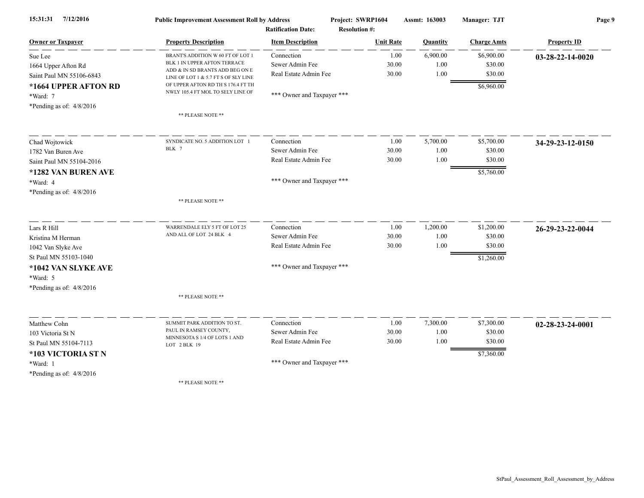| 7/12/2016<br>15:31:31      | <b>Public Improvement Assessment Roll by Address</b>                    |                            | Project: SWRP1604    | Assmt: 163003 | Manager: TJT       | Page 9             |  |
|----------------------------|-------------------------------------------------------------------------|----------------------------|----------------------|---------------|--------------------|--------------------|--|
|                            | <b>Ratification Date:</b>                                               |                            | <b>Resolution #:</b> |               |                    |                    |  |
| <b>Owner or Taxpayer</b>   | <b>Property Description</b>                                             | <b>Item Description</b>    | <b>Unit Rate</b>     | Quantity      | <b>Charge Amts</b> | <b>Property ID</b> |  |
| Sue Lee                    | BRANT'S ADDITION W 60 FT OF LOT 1                                       | Connection                 | 1.00                 | 6,900.00      | \$6,900.00         | 03-28-22-14-0020   |  |
| 1664 Upper Afton Rd        | BLK 1 IN UPPER AFTON TERRACE<br>ADD & IN SD BRANTS ADD BEG ON E         | Sewer Admin Fee            | 30.00                | 1.00          | \$30.00            |                    |  |
| Saint Paul MN 55106-6843   | LINE OF LOT 1 & 5.7 FT S OF SLY LINE                                    | Real Estate Admin Fee      | 30.00                | 1.00          | \$30.00            |                    |  |
| *1664 UPPER AFTON RD       | OF UPPER AFTON RD TH S 176.4 FT TH<br>NWLY 105.4 FT MOL TO SELY LINE OF |                            |                      |               | \$6,960.00         |                    |  |
| *Ward: 7                   |                                                                         | *** Owner and Taxpayer *** |                      |               |                    |                    |  |
| *Pending as of: $4/8/2016$ |                                                                         |                            |                      |               |                    |                    |  |
|                            | ** PLEASE NOTE **                                                       |                            |                      |               |                    |                    |  |
| Chad Wojtowick             | SYNDICATE NO. 5 ADDITION LOT 1                                          | Connection                 | 1.00                 | 5,700.00      | \$5,700.00         | 34-29-23-12-0150   |  |
| 1782 Van Buren Ave         | BLK 7                                                                   | Sewer Admin Fee            | 30.00                | 1.00          | \$30.00            |                    |  |
| Saint Paul MN 55104-2016   |                                                                         | Real Estate Admin Fee      | 30.00                | 1.00          | \$30.00            |                    |  |
| *1282 VAN BUREN AVE        |                                                                         |                            |                      |               | \$5,760.00         |                    |  |
| *Ward: 4                   |                                                                         | *** Owner and Taxpayer *** |                      |               |                    |                    |  |
| *Pending as of: $4/8/2016$ |                                                                         |                            |                      |               |                    |                    |  |
|                            | ** PLEASE NOTE **                                                       |                            |                      |               |                    |                    |  |
| Lars R Hill                | WARRENDALE ELY 5 FT OF LOT 25                                           | Connection                 | 1.00                 | 1,200.00      | \$1,200.00         | 26-29-23-22-0044   |  |
| Kristina M Herman          | AND ALL OF LOT 24 BLK 4                                                 | Sewer Admin Fee            | 30.00                | 1.00          | \$30.00            |                    |  |
| 1042 Van Slyke Ave         |                                                                         | Real Estate Admin Fee      | 30.00                | 1.00          | \$30.00            |                    |  |
| St Paul MN 55103-1040      |                                                                         |                            |                      |               | \$1,260.00         |                    |  |
| *1042 VAN SLYKE AVE        |                                                                         | *** Owner and Taxpayer *** |                      |               |                    |                    |  |
| *Ward: 5                   |                                                                         |                            |                      |               |                    |                    |  |
| *Pending as of: $4/8/2016$ |                                                                         |                            |                      |               |                    |                    |  |
|                            | ** PLEASE NOTE **                                                       |                            |                      |               |                    |                    |  |
| Matthew Cohn               | SUMMIT PARK ADDITION TO ST.                                             | Connection                 | 1.00                 | 7,300.00      | \$7,300.00         | 02-28-23-24-0001   |  |
| 103 Victoria St N          | PAUL IN RAMSEY COUNTY,                                                  | Sewer Admin Fee            | 30.00                | 1.00          | \$30.00            |                    |  |
| St Paul MN 55104-7113      | MINNESOTA S 1/4 OF LOTS 1 AND<br>LOT 2 BLK 19                           | Real Estate Admin Fee      | 30.00                | 1.00          | \$30.00            |                    |  |
| *103 VICTORIA ST N         |                                                                         |                            |                      |               | \$7,360.00         |                    |  |
| *Ward: 1                   |                                                                         | *** Owner and Taxpayer *** |                      |               |                    |                    |  |
| *Pending as of: $4/8/2016$ |                                                                         |                            |                      |               |                    |                    |  |
|                            | ** PLEASE NOTE **                                                       |                            |                      |               |                    |                    |  |